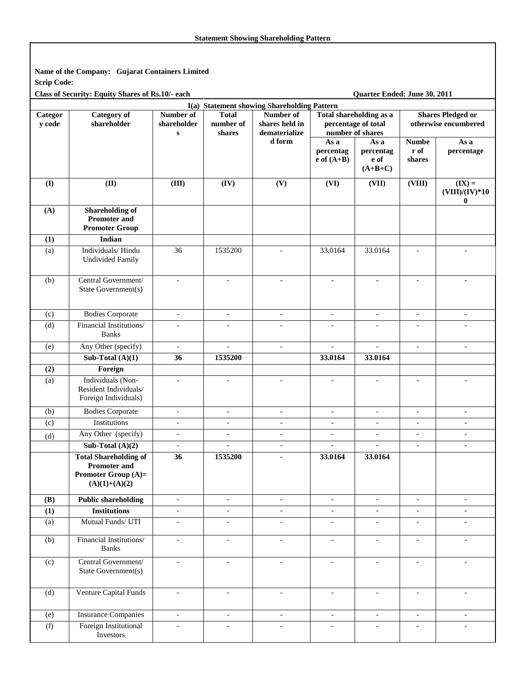**Name of the Company: Gujarat Containers Limited Scrip Code:** 

**Class of Security: Equity Shares of Rs.10/- each Quarter Ended: June 30, 2011** 

| I(a) Statement showing Shareholding Pattern |                                                                                                      |                                       |                                     |                                              |                                                                    |                                        |                                |                                                  |
|---------------------------------------------|------------------------------------------------------------------------------------------------------|---------------------------------------|-------------------------------------|----------------------------------------------|--------------------------------------------------------------------|----------------------------------------|--------------------------------|--------------------------------------------------|
| Categor<br>y code                           | <b>Category</b> of<br>shareholder                                                                    | Number of<br>shareholder<br>${\bf S}$ | <b>Total</b><br>number of<br>shares | Number of<br>shares held in<br>dematerialize | Total shareholding as a<br>percentage of total<br>number of shares |                                        |                                | <b>Shares Pledged or</b><br>otherwise encumbered |
|                                             |                                                                                                      |                                       |                                     | d form                                       | As a<br>percentag<br>$e$ of $(A+B)$                                | As a<br>percentag<br>e of<br>$(A+B+C)$ | <b>Numbe</b><br>r of<br>shares | As a<br>percentage                               |
| (I)                                         | (II)                                                                                                 | (III)                                 | (IV)                                | (V)                                          | (VI)                                                               | (VII)                                  | (VIII)                         | $(\mathbf{IX}) =$<br>$(VIII)/(IV)*10$<br>0       |
| (A)                                         | <b>Shareholding of</b><br><b>Promoter and</b><br><b>Promoter Group</b>                               |                                       |                                     |                                              |                                                                    |                                        |                                |                                                  |
| (1)                                         | Indian                                                                                               |                                       |                                     |                                              |                                                                    |                                        |                                |                                                  |
| (a)                                         | Individuals/Hindu<br><b>Undivided Family</b>                                                         | 36                                    | 1535200                             |                                              | 33.0164                                                            | 33.0164                                | $\sim$                         |                                                  |
| (b)                                         | Central Government/<br>State Government(s)                                                           | $\equiv$                              | $\blacksquare$                      | $\blacksquare$                               | $\blacksquare$                                                     | $\blacksquare$                         | $\blacksquare$                 | $\overline{a}$                                   |
| (c)                                         | <b>Bodies Corporate</b>                                                                              | $\overline{\phantom{a}}$              | $\overline{\phantom{a}}$            | $\overline{\phantom{a}}$                     | $\overline{\phantom{a}}$                                           | $\overline{\phantom{a}}$               | $\overline{\phantom{a}}$       | $\overline{\phantom{a}}$                         |
| (d)                                         | Financial Institutions/<br><b>Banks</b>                                                              |                                       |                                     | $\overline{\phantom{a}}$                     | $\overline{\phantom{a}}$                                           |                                        | $\overline{\phantom{a}}$       |                                                  |
| (e)                                         | Any Other (specify)                                                                                  | $\overline{\phantom{a}}$              | $\blacksquare$                      | $\overline{\phantom{a}}$                     | $\overline{a}$                                                     | $\bar{\phantom{a}}$                    | $\blacksquare$                 | $\blacksquare$                                   |
|                                             | Sub-Total $(A)(1)$                                                                                   | 36                                    | 1535200                             |                                              | 33.0164                                                            | 33.0164                                |                                |                                                  |
| (2)                                         | Foreign                                                                                              |                                       |                                     |                                              |                                                                    |                                        |                                |                                                  |
| (a)                                         | Individuals (Non-<br>Resident Individuals/<br>Foreign Individuals)                                   | $\overline{a}$                        |                                     | $\overline{a}$                               | $\overline{a}$                                                     | $\sim$                                 | $\overline{\phantom{a}}$       |                                                  |
| (b)                                         | <b>Bodies Corporate</b>                                                                              | $\overline{\phantom{a}}$              | $\overline{\phantom{a}}$            | $\overline{\phantom{a}}$                     | $\overline{\phantom{a}}$                                           | $\overline{\phantom{a}}$               | $\overline{\phantom{a}}$       | $\overline{\phantom{a}}$                         |
| (c)                                         | Institutions                                                                                         | $\overline{\phantom{a}}$              | $\overline{\phantom{a}}$            | $\overline{\phantom{a}}$                     | $\overline{\phantom{a}}$                                           | $\overline{\phantom{a}}$               | $\overline{\phantom{a}}$       | $\overline{\phantom{a}}$                         |
| (d)                                         | Any Other (specify)                                                                                  | $\overline{\phantom{a}}$              | $\overline{\phantom{a}}$            | $\overline{\phantom{a}}$                     | $\overline{\phantom{a}}$                                           | $\overline{\phantom{a}}$               | $\overline{\phantom{a}}$       | $\overline{\phantom{a}}$                         |
|                                             | Sub-Total $(A)(2)$                                                                                   | $\equiv$                              | $\equiv$                            | $\overline{\phantom{a}}$                     | $\overline{\phantom{a}}$                                           | $\mathcal{L}$                          | $\blacksquare$                 | $\blacksquare$                                   |
|                                             | <b>Total Shareholding of</b><br><b>Promoter and</b><br><b>Promoter Group (A)=</b><br>$(A)(1)+(A)(2)$ | 36                                    | 1535200                             | $\blacksquare$                               | 33.0164                                                            | 33.0164                                |                                |                                                  |
| (B)                                         | <b>Public shareholding</b>                                                                           | $\overline{\phantom{a}}$              | $\overline{\phantom{a}}$            | $\overline{\phantom{a}}$                     | $\overline{\phantom{a}}$                                           | $\overline{\phantom{a}}$               | $\overline{\phantom{a}}$       | $\overline{\phantom{a}}$                         |
| (1)                                         | <b>Institutions</b>                                                                                  | $\overline{\phantom{a}}$              | $\overline{\phantom{a}}$            | $\overline{\phantom{a}}$                     | $\overline{\phantom{a}}$                                           | $\overline{\phantom{a}}$               | $\overline{\phantom{a}}$       | $\overline{\phantom{a}}$                         |
| (a)                                         | Mutual Funds/ UTI                                                                                    | $\equiv$                              | $\overline{\phantom{a}}$            | $\overline{\phantom{a}}$                     | $\blacksquare$                                                     | $\overline{\phantom{a}}$               | $\blacksquare$                 | $\blacksquare$                                   |
| (b)                                         | Financial Institutions/<br><b>Banks</b>                                                              | $\blacksquare$                        | $\blacksquare$                      | $\blacksquare$                               | $\overline{\phantom{a}}$                                           | $\blacksquare$                         | $\overline{\phantom{a}}$       | $\blacksquare$                                   |
| (c)                                         | Central Government/<br>State Government(s)                                                           | $\blacksquare$                        | $\equiv$                            | $\overline{\phantom{a}}$                     | $\overline{\phantom{a}}$                                           | $\overline{\phantom{a}}$               | $\blacksquare$                 | $\overline{\phantom{a}}$                         |
| (d)                                         | Venture Capital Funds                                                                                | $\equiv$                              | $\blacksquare$                      | $\overline{\phantom{a}}$                     | $\overline{\phantom{a}}$                                           | $\overline{\phantom{a}}$               | $\overline{\phantom{a}}$       | $\overline{\phantom{a}}$                         |
| (e)                                         | <b>Insurance Companies</b>                                                                           | $\equiv$                              | $\overline{\phantom{a}}$            | $\overline{\phantom{a}}$                     | $\blacksquare$                                                     | $\overline{\phantom{a}}$               |                                | $\blacksquare$                                   |
| (f)                                         | Foreign Institutional<br>Investors                                                                   | $\overline{\phantom{a}}$              | $\overline{\phantom{a}}$            | $\overline{\phantom{a}}$                     | $\overline{\phantom{a}}$                                           | $\blacksquare$                         | $\overline{\phantom{a}}$       | $\overline{\phantom{a}}$                         |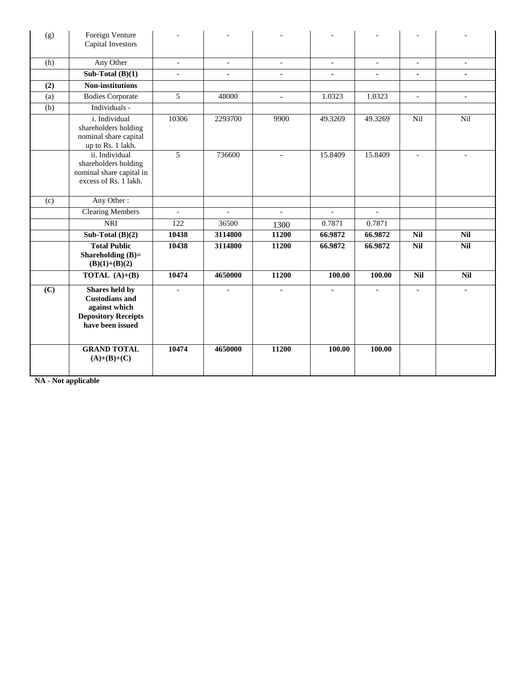| (g) | Foreign Venture<br>Capital Investors                                                                       |                          |                          |                          |                          |                          |                          |                          |
|-----|------------------------------------------------------------------------------------------------------------|--------------------------|--------------------------|--------------------------|--------------------------|--------------------------|--------------------------|--------------------------|
| (h) | Any Other                                                                                                  | $\overline{\phantom{a}}$ | $\overline{\phantom{a}}$ | $\overline{\phantom{a}}$ | $\overline{\phantom{a}}$ | $\overline{\phantom{a}}$ | $\overline{\phantom{a}}$ | $\overline{\phantom{a}}$ |
|     | Sub-Total $(B)(1)$                                                                                         | ÷.                       | $\blacksquare$           | $\blacksquare$           | $\blacksquare$           | $\blacksquare$           | $\blacksquare$           |                          |
| (2) | <b>Non-institutions</b>                                                                                    |                          |                          |                          |                          |                          |                          |                          |
| (a) | <b>Bodies Corporate</b>                                                                                    | $\overline{5}$           | 48000                    | $\blacksquare$           | 1.0323                   | 1.0323                   | $\overline{\phantom{a}}$ | $\overline{\phantom{a}}$ |
| (b) | Individuals -                                                                                              |                          |                          |                          |                          |                          |                          |                          |
|     | i. Individual<br>shareholders holding<br>nominal share capital<br>up to Rs. 1 lakh.                        | 10306                    | 2293700                  | 9900                     | 49.3269                  | 49.3269                  | Nil                      | Nil                      |
|     | ii. Individual<br>shareholders holding<br>nominal share capital in<br>excess of Rs. 1 lakh.                | 5                        | 736600                   |                          | 15.8409                  | 15.8409                  |                          |                          |
| (c) | Any Other:                                                                                                 |                          |                          |                          |                          |                          |                          |                          |
|     | <b>Clearing Members</b>                                                                                    | $\overline{a}$           | $\overline{a}$           | $\overline{a}$           | $\sim$                   | $\overline{\phantom{a}}$ |                          |                          |
|     | <b>NRI</b>                                                                                                 | 122                      | 36500                    | 1300                     | 0.7871                   | 0.7871                   |                          |                          |
|     | Sub-Total $(B)(2)$                                                                                         | 10438                    | 3114800                  | 11200                    | 66.9872                  | 66.9872                  | <b>Nil</b>               | <b>Nil</b>               |
|     | <b>Total Public</b><br>Shareholding $(B)=$<br>$(B)(1)+(B)(2)$                                              | 10438                    | 3114800                  | 11200                    | 66.9872                  | 66.9872                  | <b>Nil</b>               | <b>Nil</b>               |
|     | <b>TOTAL</b> $(A)+(B)$                                                                                     | 10474                    | 4650000                  | 11200                    | 100.00                   | 100.00                   | <b>Nil</b>               | <b>Nil</b>               |
| (C) | Shares held by<br><b>Custodians and</b><br>against which<br><b>Depository Receipts</b><br>have been issued |                          |                          |                          |                          |                          |                          |                          |
|     | <b>GRAND TOTAL</b><br>$(A)+(B)+(C)$                                                                        | 10474                    | 4650000                  | 11200                    | 100.00                   | 100.00                   |                          |                          |

**NA - Not applicable**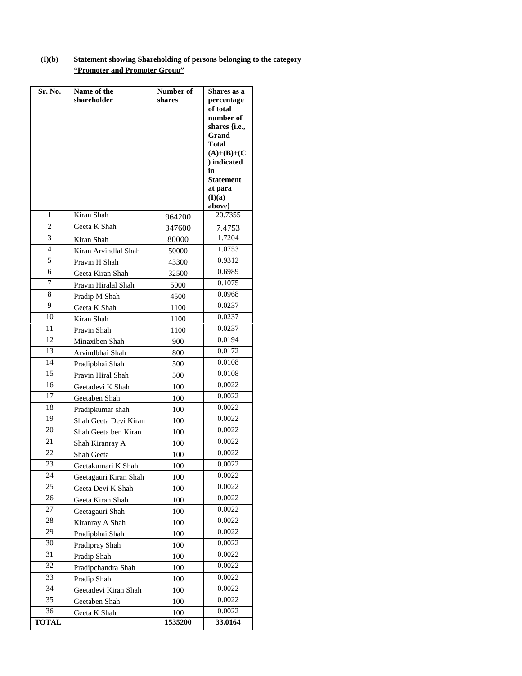## **(I)(b) Statement showing Shareholding of persons belonging to the category "Promoter and Promoter Group"**

| Sr. No.        | Name of the           | Number of | Shares as a                  |
|----------------|-----------------------|-----------|------------------------------|
|                | shareholder           | shares    | percentage                   |
|                |                       |           | of total<br>number of        |
|                |                       |           | shares {i.e.,                |
|                |                       |           | Grand                        |
|                |                       |           | <b>Total</b>                 |
|                |                       |           | $(A)+(B)+(C)$<br>) indicated |
|                |                       |           | in                           |
|                |                       |           | <b>Statement</b>             |
|                |                       |           | at para<br>(I)(a)            |
|                |                       |           | above}                       |
| 1              | Kiran Shah            | 964200    | 20.7355                      |
| $\overline{c}$ | Geeta K Shah          | 347600    | 7.4753                       |
| 3              | Kiran Shah            | 80000     | 1.7204                       |
| 4              | Kiran Arvindlal Shah  | 50000     | 1.0753                       |
| 5              | Pravin H Shah         | 43300     | 0.9312                       |
| 6              | Geeta Kiran Shah      | 32500     | 0.6989                       |
| 7              | Pravin Hiralal Shah   | 5000      | 0.1075                       |
| 8              | Pradip M Shah         | 4500      | 0.0968                       |
| 9              | Geeta K Shah          | 1100      | 0.0237                       |
| 10             | Kiran Shah            | 1100      | 0.0237                       |
| 11             | Pravin Shah           | 1100      | 0.0237                       |
| 12             | Minaxiben Shah        | 900       | 0.0194                       |
| 13             | Arvindbhai Shah       | 800       | 0.0172                       |
| 14             | Pradipbhai Shah       | 500       | 0.0108                       |
| 15             | Pravin Hiral Shah     | 500       | 0.0108                       |
| 16             | Geetadevi K Shah      | 100       | 0.0022                       |
| 17             | Geetaben Shah         | 100       | 0.0022                       |
| 18             | Pradipkumar shah      | 100       | 0.0022                       |
| 19             | Shah Geeta Devi Kiran | 100       | 0.0022                       |
| 20             | Shah Geeta ben Kiran  | 100       | 0.0022                       |
| 21             | Shah Kiranray A       | 100       | 0.0022                       |
| 22             | Shah Geeta            | 100       | 0.0022                       |
| 23             | Geetakumari K Shah    | 100       | 0.0022                       |
| 24             | Geetagauri Kiran Shah | 100       | 0.0022                       |
| 25             | Geeta Devi K Shah     | 100       | 0.0022                       |
| 26             | Geeta Kiran Shah      | 100       | 0.0022                       |
| 27             | Geetagauri Shah       | 100       | 0.0022                       |
| 28             | Kiranray A Shah       | 100       | 0.0022                       |
| 29             | Pradipbhai Shah       | 100       | 0.0022                       |
| 30             | Pradipray Shah        | 100       | 0.0022                       |
| 31             | Pradip Shah           | 100       | 0.0022                       |
| 32             | Pradipchandra Shah    | 100       | 0.0022                       |
| 33             | Pradip Shah           | 100       | 0.0022                       |
| 34             | Geetadevi Kiran Shah  | 100       | 0.0022                       |
| 35             | Geetaben Shah         | 100       | 0.0022                       |
| 36             | Geeta K Shah          | 100       | 0.0022                       |
| <b>TOTAL</b>   |                       | 1535200   | 33.0164                      |
|                |                       |           |                              |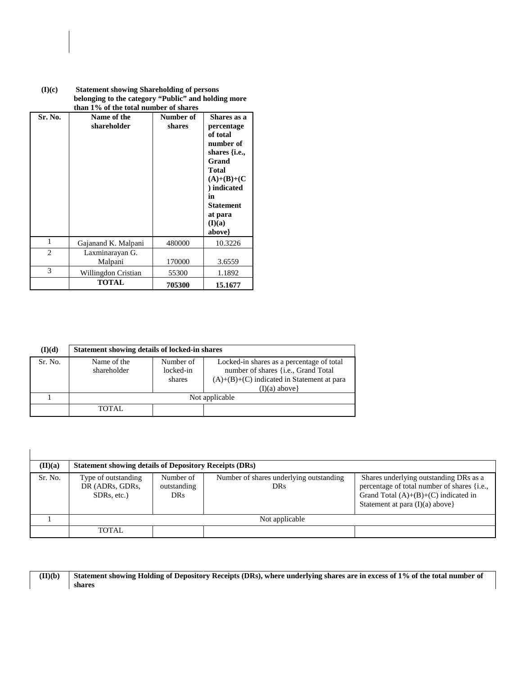| Sr. No.        | Name of the<br>shareholder | Number of<br>shares | Shares as a<br>percentage<br>of total<br>number of<br>shares $\{i.e.,\}$<br>Grand<br><b>Total</b><br>$(A)+(B)+(C)$<br>) indicated<br>in<br>Statement<br>at para<br>(I)(a)<br>above} |
|----------------|----------------------------|---------------------|-------------------------------------------------------------------------------------------------------------------------------------------------------------------------------------|
| 1              | Gajanand K. Malpani        | 480000              | 10.3226                                                                                                                                                                             |
| $\overline{c}$ | Laxminarayan G.<br>Malpani | 170000              | 3.6559                                                                                                                                                                              |
| 3              | Willingdon Cristian        | 55300               | 1.1892                                                                                                                                                                              |
|                | <b>TOTAL</b>               | 705300              | 15.1677                                                                                                                                                                             |

| (I)(c) | <b>Statement showing Shareholding of persons</b><br>belonging to the category "Public" and holding more<br>than 1% of the total number of shares |
|--------|--------------------------------------------------------------------------------------------------------------------------------------------------|
|        |                                                                                                                                                  |

| (I)(d)  | Statement showing details of locked-in shares |                                  |                                                                                                                                                      |  |  |  |
|---------|-----------------------------------------------|----------------------------------|------------------------------------------------------------------------------------------------------------------------------------------------------|--|--|--|
| Sr. No. | Name of the<br>shareholder                    | Number of<br>locked-in<br>shares | Locked-in shares as a percentage of total<br>number of shares {i.e., Grand Total<br>$(A)+(B)+(C)$ indicated in Statement at para<br>$(I)(a)$ above } |  |  |  |
|         | Not applicable                                |                                  |                                                                                                                                                      |  |  |  |
|         | TOTAL.                                        |                                  |                                                                                                                                                      |  |  |  |

| (II)(a) | <b>Statement showing details of Depository Receipts (DRs)</b>      |                                        |                                                       |                                                                                                                                                                     |
|---------|--------------------------------------------------------------------|----------------------------------------|-------------------------------------------------------|---------------------------------------------------------------------------------------------------------------------------------------------------------------------|
| Sr. No. | Type of outstanding<br>DR (ADRs, GDRs,<br>SDR <sub>s</sub> , etc.) | Number of<br>outstanding<br><b>DRs</b> | Number of shares underlying outstanding<br><b>DRs</b> | Shares underlying outstanding DRs as a<br>percentage of total number of shares {i.e.,<br>Grand Total $(A)+(B)+(C)$ indicated in<br>Statement at para $(I)(a)$ above |
|         |                                                                    |                                        | Not applicable                                        |                                                                                                                                                                     |
|         | <b>TOTAL</b>                                                       |                                        |                                                       |                                                                                                                                                                     |

| $(\mathbf{II})(\mathbf{b})$ | Statement showing Holding of Depository Receipts (DRs), where underlying shares are in excess of 1% of the total number of |
|-----------------------------|----------------------------------------------------------------------------------------------------------------------------|
|                             | shares                                                                                                                     |